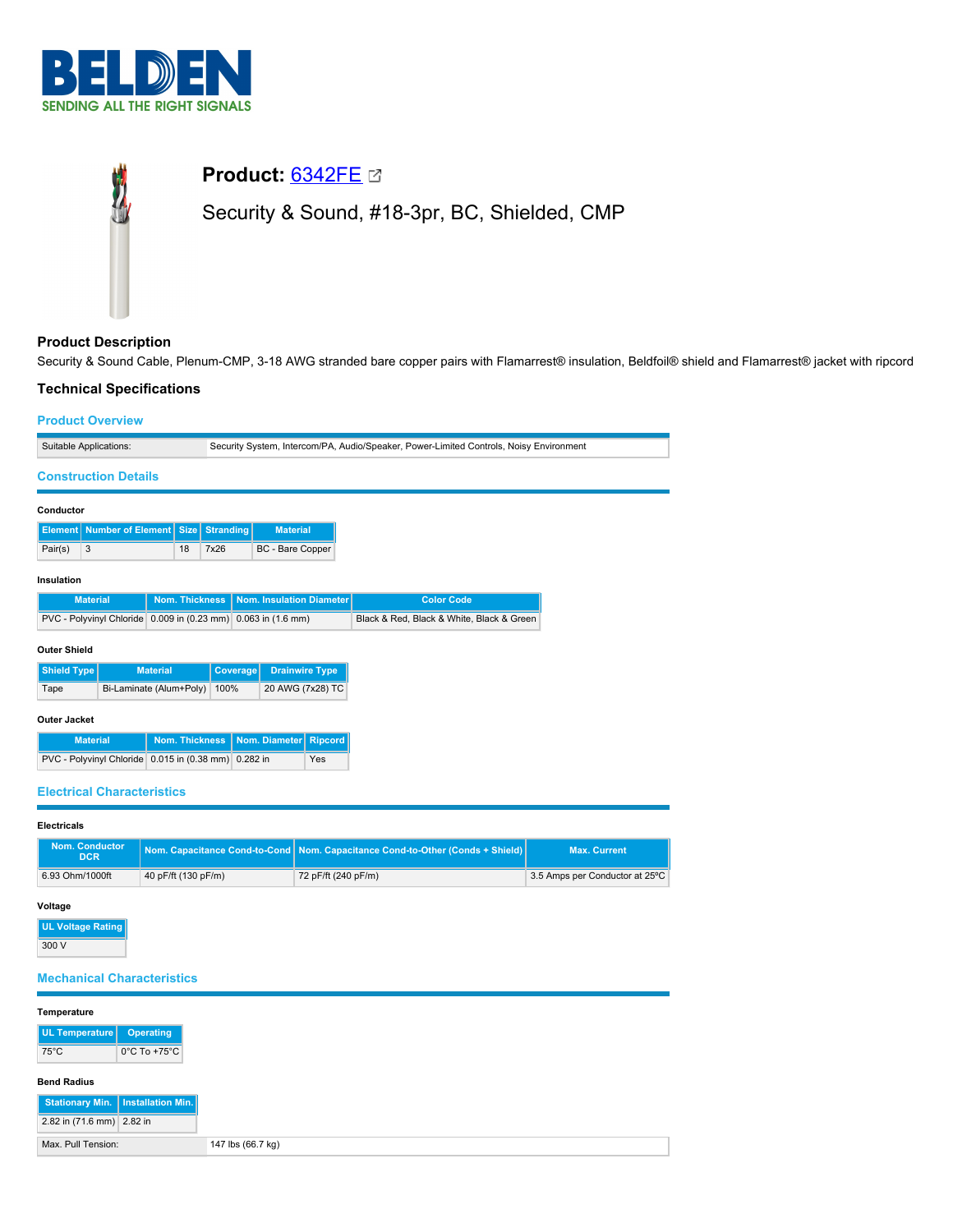

# **Product:** [6342FE](https://catalog.belden.com/index.cfm?event=pd&p=PF_6342FE&tab=downloads) Security & Sound, #18-3pr, BC, Shielded, CMP

# **Product Description**

Security & Sound Cable, Plenum-CMP, 3-18 AWG stranded bare copper pairs with Flamarrest® insulation, Beldfoil® shield and Flamarrest® jacket with ripcord

# **Technical Specifications**

## **Product Overview**

| Suitable Applications:                                        |                                          |          |                          | Security System, Intercom/PA, Audio/Speaker, Power-Limited Controls, Noisy Environment |                       |                                           |     |                   |  |  |  |  |  |
|---------------------------------------------------------------|------------------------------------------|----------|--------------------------|----------------------------------------------------------------------------------------|-----------------------|-------------------------------------------|-----|-------------------|--|--|--|--|--|
| <b>Construction Details</b>                                   |                                          |          |                          |                                                                                        |                       |                                           |     |                   |  |  |  |  |  |
| Conductor                                                     |                                          |          |                          |                                                                                        |                       |                                           |     |                   |  |  |  |  |  |
| <b>Element</b>                                                | <b>Number of Element</b><br><b>Size</b>  |          | Stranding                |                                                                                        | <b>Material</b>       |                                           |     |                   |  |  |  |  |  |
| 3<br>Pair(s)                                                  | 18                                       |          | 7x26                     | <b>BC</b> - Bare Copper                                                                |                       |                                           |     |                   |  |  |  |  |  |
| Insulation                                                    |                                          |          |                          |                                                                                        |                       |                                           |     |                   |  |  |  |  |  |
|                                                               | <b>Nom. Thickness</b><br><b>Material</b> |          | Nom. Insulation Diameter |                                                                                        |                       |                                           |     | <b>Color Code</b> |  |  |  |  |  |
| PVC - Polyvinyl Chloride 0.009 in (0.23 mm) 0.063 in (1.6 mm) |                                          |          |                          |                                                                                        |                       | Black & Red, Black & White, Black & Green |     |                   |  |  |  |  |  |
| <b>Outer Shield</b>                                           |                                          |          |                          |                                                                                        |                       |                                           |     |                   |  |  |  |  |  |
| <b>Shield Type</b><br><b>Material</b>                         |                                          | Coverage |                          | <b>Drainwire Type</b>                                                                  |                       |                                           |     |                   |  |  |  |  |  |
| Tape                                                          | Bi-Laminate (Alum+Poly)                  |          | 100%                     |                                                                                        | 20 AWG (7x28) TC      |                                           |     |                   |  |  |  |  |  |
| <b>Outer Jacket</b>                                           |                                          |          |                          |                                                                                        |                       |                                           |     |                   |  |  |  |  |  |
| <b>Material</b>                                               |                                          |          | Nom. Thickness           |                                                                                        | Nom. Diameter Ripcord |                                           |     |                   |  |  |  |  |  |
| PVC - Polyvinyl Chloride 0.015 in (0.38 mm) 0.282 in          |                                          |          |                          |                                                                                        |                       |                                           | Yes |                   |  |  |  |  |  |
| <b>Electrical Characteristics</b>                             |                                          |          |                          |                                                                                        |                       |                                           |     |                   |  |  |  |  |  |

### **Electricals**

| <b>Nom. Conductor</b><br><b>DCR</b> |                     | Nom. Capacitance Cond-to-Cond Nom. Capacitance Cond-to-Other (Conds + Shield) | <b>Max. Current</b>            |
|-------------------------------------|---------------------|-------------------------------------------------------------------------------|--------------------------------|
| 6.93 Ohm/1000ft                     | 40 pF/ft (130 pF/m) | 72 pF/ft (240 pF/m)                                                           | 3.5 Amps per Conductor at 25°C |

## **Voltage**

**UL Voltage Rating** 300 V

# **Mechanical Characteristics**

| Temperature               |                                     |
|---------------------------|-------------------------------------|
| UL Temperature            | Operating                           |
| $75^{\circ}$ C            | $0^{\circ}$ C To +75 $^{\circ}$ C   |
| <b>Bend Radius</b>        |                                     |
|                           | Stationary Min.   Installation Min. |
| 2.82 in (71.6 mm) 2.82 in |                                     |
| Max. Pull Tension:        |                                     |